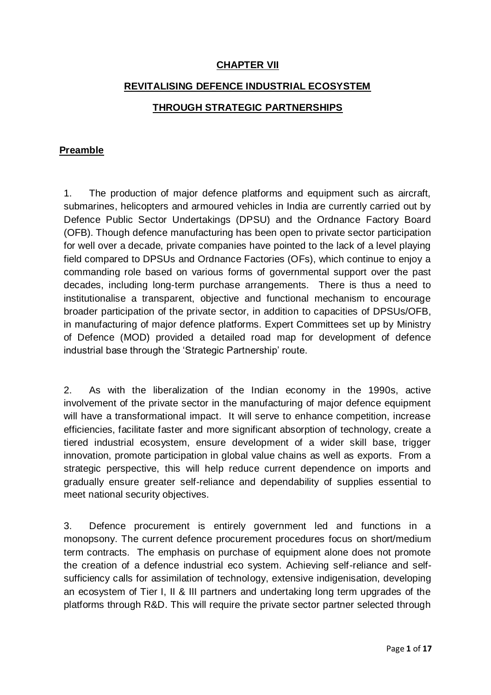## **CHAPTER VII**

## **REVITALISING DEFENCE INDUSTRIAL ECOSYSTEM**

# **THROUGH STRATEGIC PARTNERSHIPS**

#### **Preamble**

1. The production of major defence platforms and equipment such as aircraft, submarines, helicopters and armoured vehicles in India are currently carried out by Defence Public Sector Undertakings (DPSU) and the Ordnance Factory Board (OFB). Though defence manufacturing has been open to private sector participation for well over a decade, private companies have pointed to the lack of a level playing field compared to DPSUs and Ordnance Factories (OFs), which continue to enjoy a commanding role based on various forms of governmental support over the past decades, including long-term purchase arrangements. There is thus a need to institutionalise a transparent, objective and functional mechanism to encourage broader participation of the private sector, in addition to capacities of DPSUs/OFB, in manufacturing of major defence platforms. Expert Committees set up by Ministry of Defence (MOD) provided a detailed road map for development of defence industrial base through the 'Strategic Partnership' route.

2. As with the liberalization of the Indian economy in the 1990s, active involvement of the private sector in the manufacturing of major defence equipment will have a transformational impact. It will serve to enhance competition, increase efficiencies, facilitate faster and more significant absorption of technology, create a tiered industrial ecosystem, ensure development of a wider skill base, trigger innovation, promote participation in global value chains as well as exports. From a strategic perspective, this will help reduce current dependence on imports and gradually ensure greater self-reliance and dependability of supplies essential to meet national security objectives.

3. Defence procurement is entirely government led and functions in a monopsony. The current defence procurement procedures focus on short/medium term contracts. The emphasis on purchase of equipment alone does not promote the creation of a defence industrial eco system. Achieving self-reliance and selfsufficiency calls for assimilation of technology, extensive indigenisation, developing an ecosystem of Tier I, II & III partners and undertaking long term upgrades of the platforms through R&D. This will require the private sector partner selected through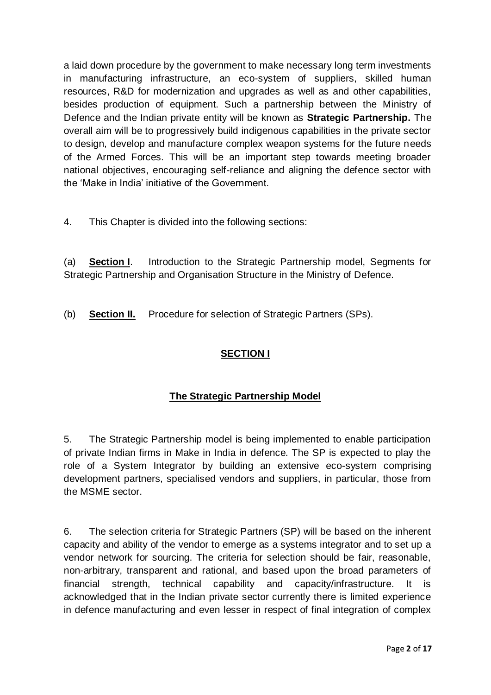a laid down procedure by the government to make necessary long term investments in manufacturing infrastructure, an eco-system of suppliers, skilled human resources, R&D for modernization and upgrades as well as and other capabilities, besides production of equipment. Such a partnership between the Ministry of Defence and the Indian private entity will be known as **Strategic Partnership.** The overall aim will be to progressively build indigenous capabilities in the private sector to design, develop and manufacture complex weapon systems for the future needs of the Armed Forces. This will be an important step towards meeting broader national objectives, encouraging self-reliance and aligning the defence sector with the 'Make in India' initiative of the Government.

4. This Chapter is divided into the following sections:

(a) **Section I**. Introduction to the Strategic Partnership model, Segments for Strategic Partnership and Organisation Structure in the Ministry of Defence.

(b) **Section II.** Procedure for selection of Strategic Partners (SPs).

# **SECTION I**

# **The Strategic Partnership Model**

5. The Strategic Partnership model is being implemented to enable participation of private Indian firms in Make in India in defence. The SP is expected to play the role of a System Integrator by building an extensive eco-system comprising development partners, specialised vendors and suppliers, in particular, those from the MSME sector.

6. The selection criteria for Strategic Partners (SP) will be based on the inherent capacity and ability of the vendor to emerge as a systems integrator and to set up a vendor network for sourcing. The criteria for selection should be fair, reasonable, non-arbitrary, transparent and rational, and based upon the broad parameters of financial strength, technical capability and capacity/infrastructure. It is acknowledged that in the Indian private sector currently there is limited experience in defence manufacturing and even lesser in respect of final integration of complex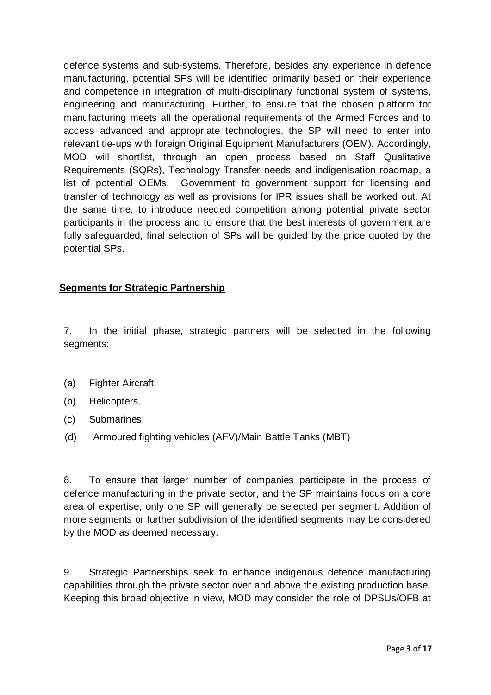defence systems and sub-systems. Therefore, besides any experience in defence manufacturing, potential SPs will be identified primarily based on their experience and competence in integration of multi-disciplinary functional system of systems, engineering and manufacturing. Further, to ensure that the chosen platform for manufacturing meets all the operational requirements of the Armed Forces and to access advanced and appropriate technologies, the SP will need to enter into relevant tie-ups with foreign Original Equipment Manufacturers (OEM). Accordingly, MOD will shortlist, through an open process based on Staff Qualitative Requirements (SQRs), Technology Transfer needs and indigenisation roadmap, a list of potential OEMs. Government to government support for licensing and transfer of technology as well as provisions for IPR issues shall be worked out. At the same time, to introduce needed competition among potential private sector participants in the process and to ensure that the best interests of government are fully safeguarded, final selection of SPs will be guided by the price quoted by the potential SPs.

## **Segments for Strategic Partnership**

7. In the initial phase, strategic partners will be selected in the following segments:

- (a) Fighter Aircraft.
- (b) Helicopters.
- (c) Submarines.
- (d) Armoured fighting vehicles (AFV)/Main Battle Tanks (MBT)

8. To ensure that larger number of companies participate in the process of defence manufacturing in the private sector, and the SP maintains focus on a core area of expertise, only one SP will generally be selected per segment. Addition of more segments or further subdivision of the identified segments may be considered by the MOD as deemed necessary.

9. Strategic Partnerships seek to enhance indigenous defence manufacturing capabilities through the private sector over and above the existing production base. Keeping this broad objective in view, MOD may consider the role of DPSUs/OFB at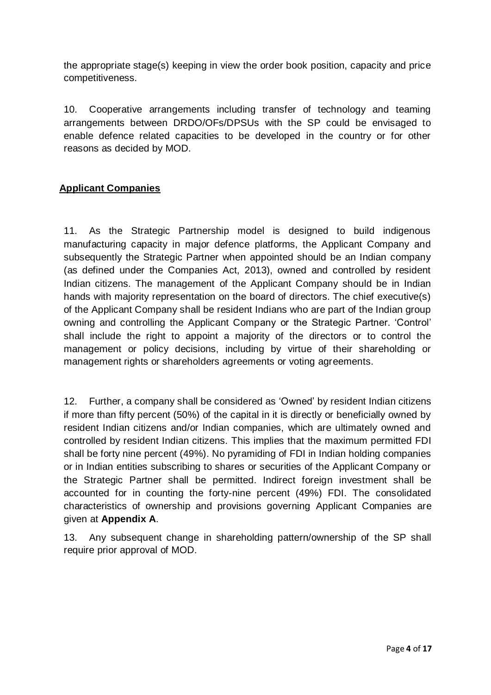the appropriate stage(s) keeping in view the order book position, capacity and price competitiveness.

10. [Cooperative arrangements including transfer of technology and teaming](file:///D:/Final%20SP%20Folder%20-%2015%20May/14%20May%20-%20By%20God%20Final%20-%20SP/Final%20-%20Response%20to%20DRDO%20Comments%20-%2014%20May%2017.docx)  [arrangements between DRDO/](file:///D:/Final%20SP%20Folder%20-%2015%20May/14%20May%20-%20By%20God%20Final%20-%20SP/Final%20-%20Response%20to%20DRDO%20Comments%20-%2014%20May%2017.docx)OFs/DPSUs with the SP could be envisaged to enable defence related capacities to be developed in the country or for other reasons as decided by MOD.

# **Applicant Companies**

11. As the Strategic Partnership model is designed to build indigenous manufacturing capacity in major defence platforms, the Applicant Company and subsequently the Strategic Partner when appointed should be an Indian company (as defined under the Companies Act, 2013), owned and controlled by resident Indian citizens. The management of the Applicant Company should be in Indian hands with majority representation on the board of directors. The chief executive(s) of the Applicant Company shall be resident Indians who are part of the Indian group owning and controlling the Applicant Company or the Strategic Partner. 'Control' shall include the right to appoint a majority of the directors or to control the management or policy decisions, including by virtue of their shareholding or management rights or shareholders agreements or voting agreements.

12. Further, a company shall be considered as 'Owned' by resident Indian citizens if more than fifty percent (50%) of the capital in it is directly or beneficially owned by resident Indian citizens and/or Indian companies, which are ultimately owned and controlled by resident Indian citizens. This implies that the maximum permitted FDI shall be forty nine percent (49%). No pyramiding of FDI in Indian holding companies or in Indian entities subscribing to shares or securities of the Applicant Company or the Strategic Partner shall be permitted. Indirect foreign investment shall be accounted for in counting the forty-nine percent (49%) FDI. The consolidated characteristics of ownership and provisions governing Applicant Companies are given at **Appendix A**.

13. Any subsequent change in shareholding pattern/ownership of the SP shall require prior approval of MOD.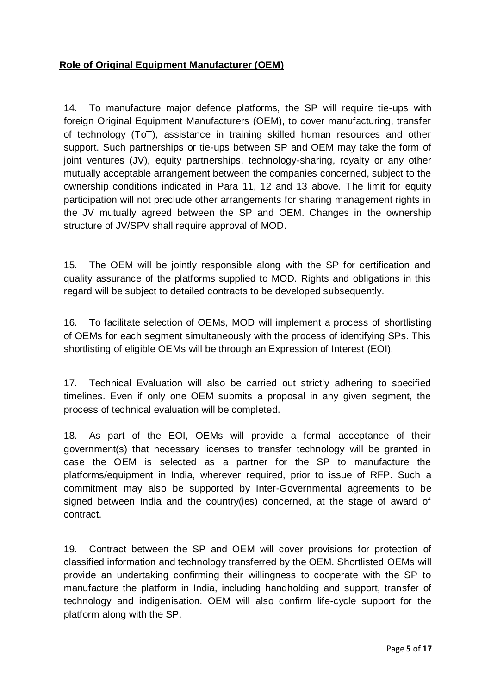# **Role of Original Equipment Manufacturer (OEM)**

14. To manufacture major defence platforms, the SP will require tie-ups with foreign Original Equipment Manufacturers (OEM), to cover manufacturing, transfer of technology (ToT), assistance in training skilled human resources and other support. Such partnerships or tie-ups between SP and OEM may take the form of joint ventures (JV), equity partnerships, technology-sharing, royalty or any other mutually acceptable arrangement between the companies concerned, subject to the ownership conditions indicated in Para 11, 12 and 13 above. The limit for equity participation will not preclude other arrangements for sharing management rights in the JV mutually agreed between the SP and OEM. Changes in the ownership structure of JV/SPV shall require approval of MOD.

15. The OEM will be jointly responsible along with the SP for certification and quality assurance of the platforms supplied to MOD. Rights and obligations in this regard will be subject to detailed contracts to be developed subsequently.

16. To facilitate selection of OEMs, MOD will implement a process of shortlisting of OEMs for each segment simultaneously with the process of identifying SPs. This shortlisting of eligible OEMs will be through an Expression of Interest (EOI).

17. Technical Evaluation will also be carried out strictly adhering to specified timelines. Even if only one OEM submits a proposal in any given segment, the process of technical evaluation will be completed.

18. As part of the EOI, OEMs will provide a formal acceptance of their government(s) that necessary licenses to transfer technology will be granted in case the OEM is selected as a partner for the SP to manufacture the platforms/equipment in India, wherever required, prior to issue of RFP. Such a commitment may also be supported by Inter-Governmental agreements to be signed between India and the country(ies) concerned, at the stage of award of contract.

19. Contract between the SP and OEM will cover provisions for protection of classified information and technology transferred by the OEM. Shortlisted OEMs will provide an undertaking confirming their willingness to cooperate with the SP to manufacture the platform in India, including handholding and support, transfer of technology and indigenisation. OEM will also confirm life-cycle support for the platform along with the SP.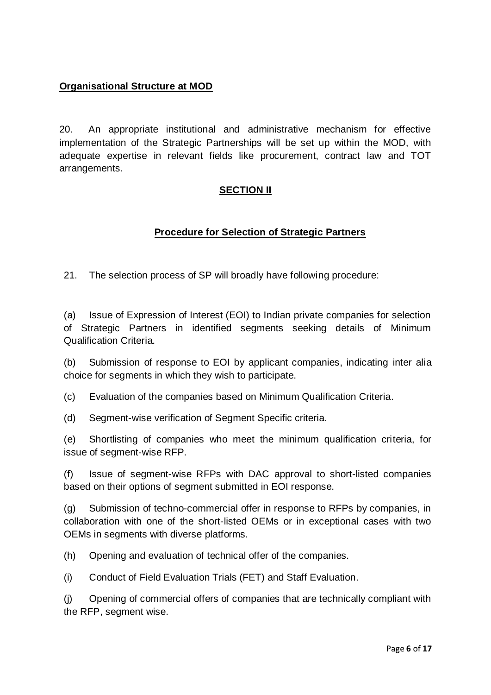# **Organisational Structure at MOD**

20. An appropriate institutional and administrative mechanism for effective implementation of the Strategic Partnerships will be set up within the MOD, with adequate expertise in relevant fields like procurement, contract law and TOT arrangements.

### **SECTION II**

### **Procedure for Selection of Strategic Partners**

21. The selection process of SP will broadly have following procedure:

(a) Issue of Expression of Interest (EOI) to Indian private companies for selection of Strategic Partners in identified segments seeking details of Minimum Qualification Criteria.

(b) Submission of response to EOI by applicant companies, indicating inter alia choice for segments in which they wish to participate.

(c) Evaluation of the companies based on Minimum Qualification Criteria.

(d) Segment-wise verification of Segment Specific criteria.

(e) Shortlisting of companies who meet the minimum qualification criteria, for issue of segment-wise RFP.

(f) Issue of segment-wise RFPs with DAC approval to short-listed companies based on their options of segment submitted in EOI response.

(g) Submission of techno-commercial offer in response to RFPs by companies, in collaboration with one of the short-listed OEMs or in exceptional cases with two OEMs in segments with diverse platforms.

(h) Opening and evaluation of technical offer of the companies.

(i) Conduct of Field Evaluation Trials (FET) and Staff Evaluation.

(j) Opening of commercial offers of companies that are technically compliant with the RFP, segment wise.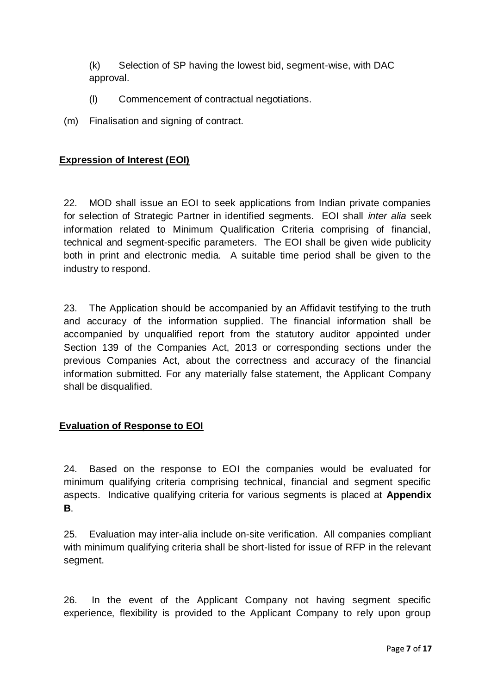(k) Selection of SP having the lowest bid, segment-wise, with DAC approval.

- (l) Commencement of contractual negotiations.
- (m) Finalisation and signing of contract.

## **Expression of Interest (EOI)**

22. MOD shall issue an EOI to seek applications from Indian private companies for selection of Strategic Partner in identified segments. EOI shall *inter alia* seek information related to Minimum Qualification Criteria comprising of financial, technical and segment-specific parameters. The EOI shall be given wide publicity both in print and electronic media. A suitable time period shall be given to the industry to respond.

23. The Application should be accompanied by an Affidavit testifying to the truth and accuracy of the information supplied. The financial information shall be accompanied by unqualified report from the statutory auditor appointed under Section 139 of the Companies Act, 2013 or corresponding sections under the previous Companies Act, about the correctness and accuracy of the financial information submitted. For any materially false statement, the Applicant Company shall be disqualified.

### **Evaluation of Response to EOI**

24. Based on the response to EOI the companies would be evaluated for minimum qualifying criteria comprising technical, financial and segment specific aspects. Indicative qualifying criteria for various segments is placed at **Appendix B**.

25. Evaluation may inter-alia include on-site verification. All companies compliant with minimum qualifying criteria shall be short-listed for issue of RFP in the relevant segment.

26. In the event of the Applicant Company not having segment specific experience, flexibility is provided to the Applicant Company to rely upon group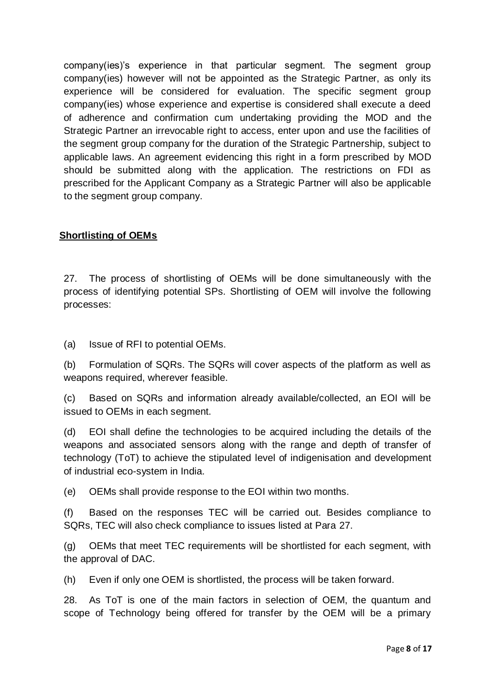company(ies)'s experience in that particular segment. The segment group company(ies) however will not be appointed as the Strategic Partner, as only its experience will be considered for evaluation. The specific segment group company(ies) whose experience and expertise is considered shall execute a deed of adherence and confirmation cum undertaking providing the MOD and the Strategic Partner an irrevocable right to access, enter upon and use the facilities of the segment group company for the duration of the Strategic Partnership, subject to applicable laws. An agreement evidencing this right in a form prescribed by MOD should be submitted along with the application. The restrictions on FDI as prescribed for the Applicant Company as a Strategic Partner will also be applicable to the segment group company.

# **Shortlisting of OEMs**

27. The process of shortlisting of OEMs will be done simultaneously with the process of identifying potential SPs. Shortlisting of OEM will involve the following processes:

(a) Issue of RFI to potential OEMs.

(b) Formulation of SQRs. The SQRs will cover aspects of the platform as well as weapons required, wherever feasible.

(c) Based on SQRs and information already available/collected, an EOI will be issued to OEMs in each segment.

(d) EOI shall define the technologies to be acquired [including the details of the](file:///D:/Final%20SP%20Folder%20-%2015%20May/14%20May%20-%20By%20God%20Final%20-%20SP/Final%20-%20Response%20to%20NAVY%20Comments%20-%2015%20May%2017.docx)  [weapons and associated sensors](file:///D:/Final%20SP%20Folder%20-%2015%20May/14%20May%20-%20By%20God%20Final%20-%20SP/Final%20-%20Response%20to%20NAVY%20Comments%20-%2015%20May%2017.docx) along with the range and depth of transfer of technology (ToT) to achieve the stipulated level of indigenisation and development of industrial eco-system in India.

(e) OEMs shall provide response to the EOI within two months.

(f) Based on the responses TEC will be carried out. Besides compliance to SQRs, TEC will also check compliance to issues listed at Para 27.

(g) OEMs that meet TEC requirements will be shortlisted for each segment, with the approval of DAC.

(h) Even if only one OEM is shortlisted, the process will be taken forward.

28. As ToT is one of the main factors in selection of OEM, the quantum and scope of Technology being offered for transfer by the OEM will be a primary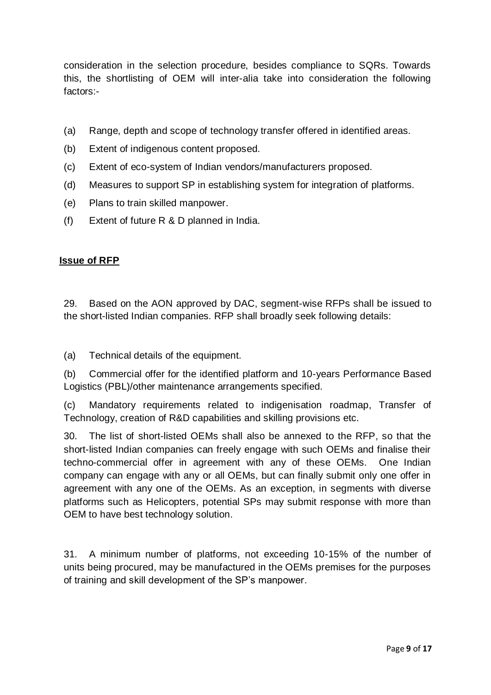consideration in the selection procedure, besides compliance to SQRs. Towards this, the shortlisting of OEM will inter-alia take into consideration the following factors:-

- (a) Range, depth and scope of technology transfer offered in identified areas.
- (b) Extent of indigenous content proposed.
- (c) Extent of eco-system of Indian vendors/manufacturers proposed.
- (d) Measures to support SP in establishing system for integration of platforms.
- (e) Plans to train skilled manpower.
- (f) Extent of future R & D planned in India.

## **Issue of RFP**

29. Based on the AON approved by DAC, segment-wise RFPs shall be issued to the short-listed Indian companies. RFP shall broadly seek following details:

(a) Technical details of the equipment.

(b) Commercial offer for the identified platform and 10-years Performance Based Logistics (PBL)/other maintenance arrangements specified.

(c) Mandatory requirements related to indigenisation roadmap, Transfer of Technology, creation of R&D capabilities and skilling provisions etc.

30. The list of short-listed OEMs shall also be annexed to the RFP, so that the short-listed Indian companies can freely engage with such OEMs and finalise their techno-commercial offer in agreement with any of these OEMs. One Indian company can engage with any or all OEMs, but can finally submit only one offer in agreement with any one of the OEMs. As an exception, in segments with diverse platforms such as Helicopters, potential SPs may submit response with more than OEM to have best technology solution.

31. A minimum number of platforms, not exceeding 10-15% of the number of units being procured, may be manufactured in the OEMs premises for the purposes of training and skill development of the SP's manpower.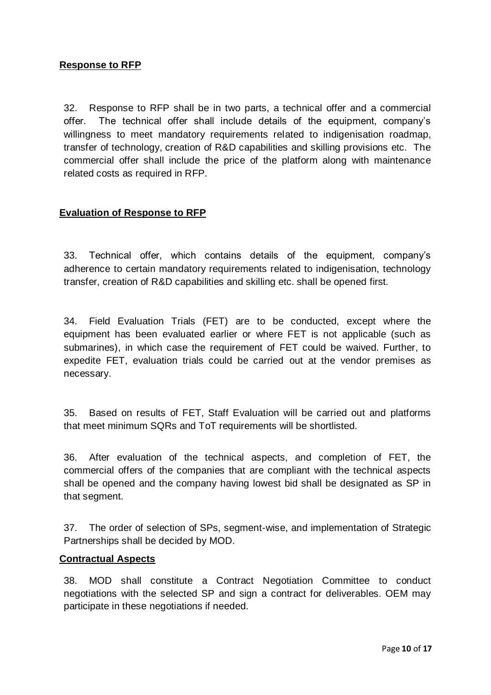# **Response to RFP**

32. Response to RFP shall be in two parts, a technical offer and a commercial offer. The technical offer shall include details of the equipment, company's willingness to meet mandatory requirements related to indigenisation roadmap, transfer of technology, creation of R&D capabilities and skilling provisions etc. The commercial offer shall include the price of the platform along with maintenance related costs as required in RFP.

# **Evaluation of Response to RFP**

33. Technical offer, which contains details of the equipment, company's adherence to certain mandatory requirements related to indigenisation, technology transfer, creation of R&D capabilities and skilling etc. shall be opened first.

34. Field Evaluation Trials (FET) are to be conducted, except where the equipment has been evaluated earlier or where FET is not applicable (such as submarines), in which case the requirement of FET could be waived. Further, to expedite FET, evaluation trials could be carried out at the vendor premises as necessary.

35. Based on results of FET, Staff Evaluation will be carried out and platforms that meet minimum SQRs and ToT requirements will be shortlisted.

36. After evaluation of the technical aspects, and completion of FET, the commercial offers of the companies that are compliant with the technical aspects shall be opened and the company having lowest bid shall be designated as SP in that segment.

37. The order of selection of SPs, segment-wise, and implementation of Strategic Partnerships shall be decided by MOD.

#### **Contractual Aspects**

38. MOD shall constitute a Contract Negotiation Committee to conduct negotiations with the selected SP and sign a contract for deliverables. OEM may participate in these negotiations if needed.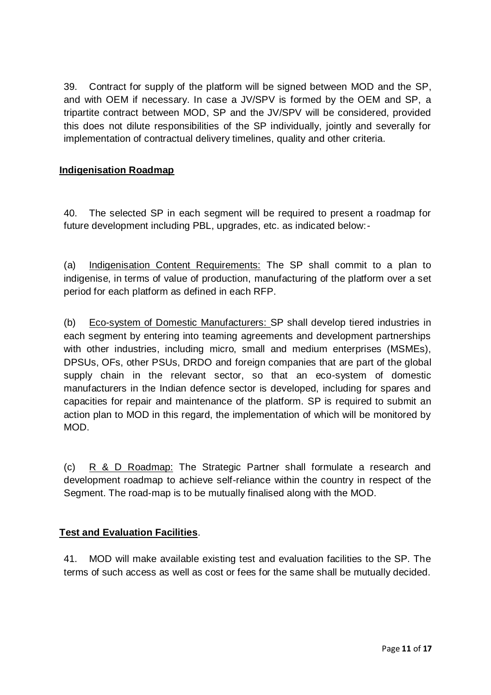39. Contract for supply of the platform will be signed between MOD and the [SP,](file:///D:/Final%20SP%20Folder%20-%2015%20May/14%20May%20-%20By%20God%20Final%20-%20SP/Final%20-%20Response%20to%20ACQ%20WING%20-%2014%20May%2017.docx) and with OEM if necessary. In case a JV/SPV is formed by the OEM and SP, a tripartite contract between MOD, SP and the JV/SPV will be considered, provided this does not dilute responsibilities of the SP individually, jointly and severally for implementation of contractual delivery timelines, quality and other [criteria.](file:///D:/Final%20SP%20Folder%20-%2015%20May/14%20May%20-%20By%20God%20Final%20-%20SP/Final%20-%20Response%20to%20DDP%20Comments%20-%2014%20May%2017.docx)

# **Indigenisation Roadmap**

40. The selected SP in each segment will be required to present a roadmap for future development including PBL, upgrades, etc. as indicated below:-

(a) Indigenisation Content Requirements: The SP shall commit to a plan to indigenise, in terms of value of production, manufacturing of the platform over a set period for each platform as defined in each RFP.

(b) Eco-system of Domestic Manufacturers: SP shall develop tiered industries in each segment by entering into teaming agreements and development partnerships with other industries, including micro, small and medium enterprises (MSMEs), DPSUs, OFs, other PSUs, DRDO and foreign companies that are part of the global supply chain in the relevant sector, so that an eco-system of domestic manufacturers in the Indian defence sector is developed, including for spares and capacities for repair and maintenance of the platform. SP is required to submit an action plan to MOD in this regard, the implementation of which will be monitored by MOD.

(c) R & D Roadmap: The Strategic Partner shall formulate a research and development roadmap to achieve self-reliance within the country in respect of the Segment. The road-map is to be mutually finalised along with the MOD.

### **Test and Evaluation Facilities**.

41. MOD will make available existing test and evaluation facilities to the SP. The terms of such access as well as cost or fees for the same shall be mutually decided.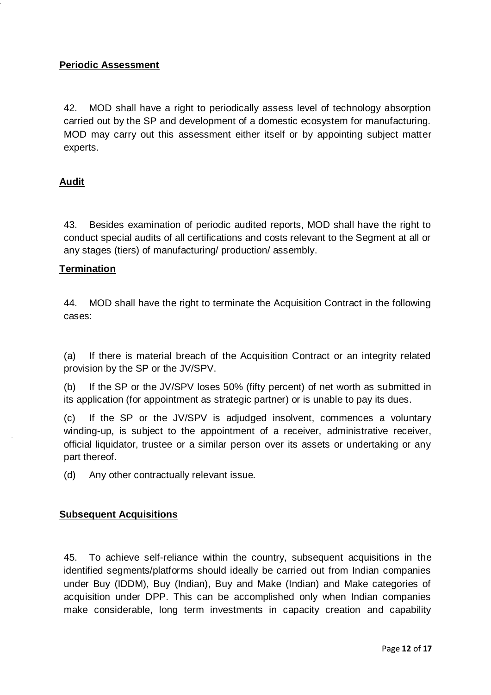## **Periodic Assessment**

42. MOD shall have a right to periodically assess level of technology absorption carried out by the SP and development of a domestic ecosystem for manufacturing. MOD may carry out this assessment either itself or by appointing subject matter experts.

### **Audit**

43. Besides examination of periodic audited reports, MOD shall have the right to conduct special audits of all certifications and costs relevant to the Segment at all or any stages (tiers) of manufacturing/ production/ assembly.

#### **Termination**

44. MOD shall have the right to terminate the Acquisition Contract in the following cases:

(a) If there is material breach of the Acquisition Contract or an integrity related provision by the SP or the JV/SPV.

(b) If the SP or the JV/SPV loses 50% (fifty percent) of net worth as submitted in its application (for appointment as strategic partner) or is unable to pay its dues.

(c) If the SP or the JV/SPV is adjudged insolvent, commences a voluntary winding-up, is subject to the appointment of a receiver, administrative receiver, official liquidator, trustee or a similar person over its assets or undertaking or any part thereof.

(d) Any other contractually relevant issue.

### **Subsequent Acquisitions**

45. To achieve self-reliance within the country, subsequent acquisitions in the identified segments/platforms should ideally be carried out from Indian companies under Buy (IDDM), Buy (Indian), Buy and Make (Indian) and Make categories of acquisition under DPP. This can be accomplished only when Indian companies make considerable, long term investments in capacity creation and capability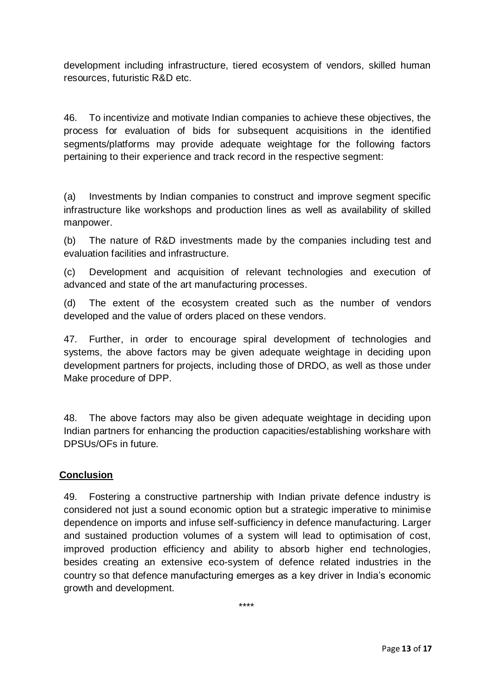development including infrastructure, tiered ecosystem of vendors, skilled human resources, futuristic R&D etc.

46. To incentivize and motivate Indian companies to achieve these objectives, the process for evaluation of bids for subsequent acquisitions in the identified segments/platforms may provide adequate weightage for the following factors pertaining to their experience and track record in the respective segment:

(a) Investments by Indian companies to construct and improve segment specific infrastructure like workshops and production lines as well as availability of skilled manpower.

(b) The nature of R&D investments made by the companies including test and evaluation facilities and infrastructure.

(c) Development and acquisition of relevant technologies and execution of advanced and state of the art manufacturing processes.

(d) The extent of the ecosystem created such as the number of vendors developed and the value of orders placed on these vendors.

47. Further, in order to encourage spiral development of technologies and systems, the above factors may be given adequate weightage in deciding upon development partners for projects, including those of DRDO, as well as those under Make procedure of DPP.

48. The above factors may also be given adequate weightage in deciding upon Indian partners for enhancing the production capacities/establishing workshare with DPSUs/OFs in future.

# **Conclusion**

49. Fostering a constructive partnership with Indian private defence industry is considered not just a sound economic option but a strategic imperative to minimise dependence on imports and infuse self-sufficiency in defence manufacturing. Larger and sustained production volumes of a system will lead to optimisation of cost, improved production efficiency and ability to absorb higher end technologies, besides creating an extensive eco-system of defence related industries in the country so that defence manufacturing emerges as a key driver in India's economic growth and development.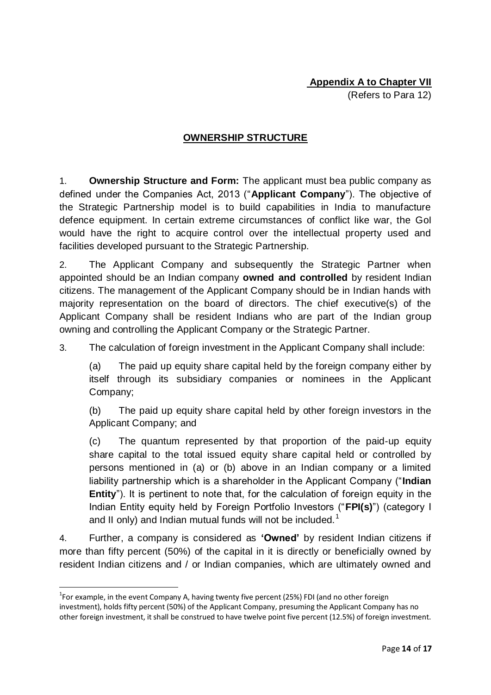# **OWNERSHIP STRUCTURE**

1. **Ownership Structure and Form:** The applicant must bea public company as defined under the Companies Act, 2013 ("**Applicant Company**"). The objective of the Strategic Partnership model is to build capabilities in India to manufacture defence equipment. In certain extreme circumstances of conflict like war, the GoI would have the right to acquire control over the intellectual property used and facilities developed pursuant to the Strategic Partnership.

2. The Applicant Company and subsequently the Strategic Partner when appointed should be an Indian company **owned and controlled** by resident Indian citizens. The management of the Applicant Company should be in Indian hands with majority representation on the board of directors. The chief executive(s) of the Applicant Company shall be resident Indians who are part of the Indian group owning and controlling the Applicant Company or the Strategic Partner.

3. The calculation of foreign investment in the Applicant Company shall include:

(a) The paid up equity share capital held by the foreign company either by itself through its subsidiary companies or nominees in the Applicant Company;

(b) The paid up equity share capital held by other foreign investors in the Applicant Company; and

(c) The quantum represented by that proportion of the paid-up equity share capital to the total issued equity share capital held or controlled by persons mentioned in (a) or (b) above in an Indian company or a limited liability partnership which is a shareholder in the Applicant Company ("**Indian Entity**"). It is pertinent to note that, for the calculation of foreign equity in the Indian Entity equity held by Foreign Portfolio Investors ("**FPI(s)**") (category I and II only) and Indian mutual funds will not be included.<sup>1</sup>

4. Further, a company is considered as **'Owned'** by resident Indian citizens if more than fifty percent (50%) of the capital in it is directly or beneficially owned by resident Indian citizens and / or Indian companies, which are ultimately owned and

-

 $^{1}$ For example, in the event Company A, having twenty five percent (25%) FDI (and no other foreign investment), holds fifty percent (50%) of the Applicant Company, presuming the Applicant Company has no other foreign investment, it shall be construed to have twelve point five percent (12.5%) of foreign investment.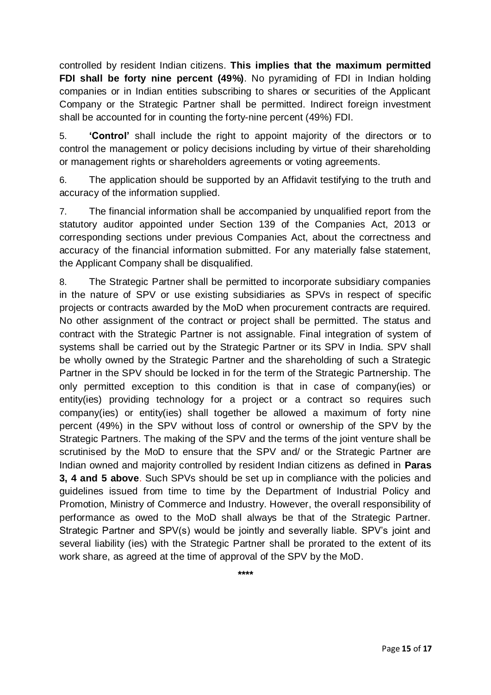controlled by resident Indian citizens. **This implies that the maximum permitted FDI shall be forty nine percent (49%)**. No pyramiding of FDI in Indian holding companies or in Indian entities subscribing to shares or securities of the Applicant Company or the Strategic Partner shall be permitted. Indirect foreign investment shall be accounted for in counting the forty-nine percent (49%) FDI.

5. **'Control'** shall include the right to appoint majority of the directors or to control the management or policy decisions including by virtue of their shareholding or management rights or shareholders agreements or voting agreements.

6. The application should be supported by an Affidavit testifying to the truth and accuracy of the information supplied.

7. The financial information shall be accompanied by unqualified report from the statutory auditor appointed under Section 139 of the Companies Act, 2013 or corresponding sections under previous Companies Act, about the correctness and accuracy of the financial information submitted. For any materially false statement, the Applicant Company shall be disqualified.

8. The Strategic Partner shall be permitted to incorporate subsidiary companies in the nature of SPV or use existing subsidiaries as SPVs in respect of specific projects or contracts awarded by the MoD when procurement contracts are required. No other assignment of the contract or project shall be permitted. The status and contract with the Strategic Partner is not assignable. Final integration of system of systems shall be carried out by the Strategic Partner or its SPV in India. SPV shall be wholly owned by the Strategic Partner and the shareholding of such a Strategic Partner in the SPV should be locked in for the term of the Strategic Partnership. The only permitted exception to this condition is that in case of company(ies) or entity(ies) providing technology for a project or a contract so requires such company(ies) or entity(ies) shall together be allowed a maximum of forty nine percent (49%) in the SPV without loss of control or ownership of the SPV by the Strategic Partners. The making of the SPV and the terms of the joint venture shall be scrutinised by the MoD to ensure that the SPV and/ or the Strategic Partner are Indian owned and majority controlled by resident Indian citizens as defined in **Paras 3, 4 and 5 above**. Such SPVs should be set up in compliance with the policies and guidelines issued from time to time by the Department of Industrial Policy and Promotion, Ministry of Commerce and Industry. However, the overall responsibility of performance as owed to the MoD shall always be that of the Strategic Partner. Strategic Partner and SPV(s) would be jointly and severally liable. SPV's joint and several liability (ies) with the Strategic Partner shall be prorated to the extent of its work share, as agreed at the time of approval of the SPV by the MoD.

**\*\*\*\***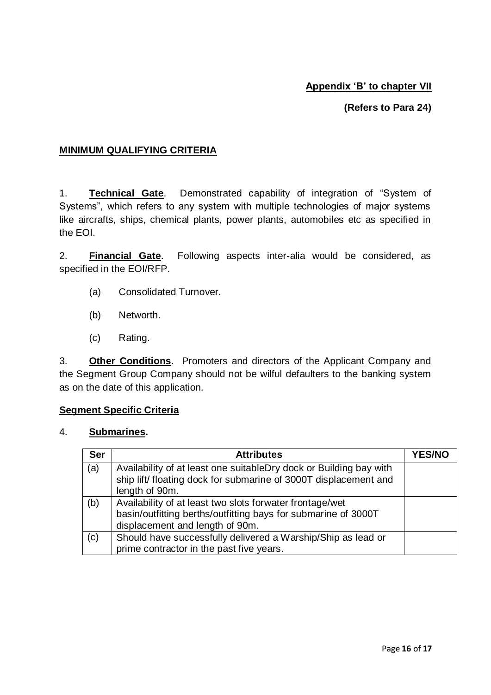## **Appendix 'B' to chapter VII**

## **(Refers to Para 24)**

### **MINIMUM QUALIFYING CRITERIA**

1. **Technical Gate**. Demonstrated capability of integration of "System of Systems", which refers to any system with multiple technologies of major systems like aircrafts, ships, chemical plants, power plants, automobiles etc as specified in the EOI.

2. **Financial Gate**. Following aspects inter-alia would be considered, as specified in the EOI/RFP.

- (a) Consolidated Turnover.
- (b) Networth.
- (c) Rating.

3. **Other Conditions**. Promoters and directors of the Applicant Company and the Segment Group Company should not be wilful defaulters to the banking system as on the date of this application.

#### **Segment Specific Criteria**

4. **Submarines.**

| <b>Ser</b> | <b>Attributes</b>                                                                                                                                             | <b>YES/NO</b> |
|------------|---------------------------------------------------------------------------------------------------------------------------------------------------------------|---------------|
| (a)        | Availability of at least one suitableDry dock or Building bay with<br>ship lift/ floating dock for submarine of 3000T displacement and<br>length of 90m.      |               |
| (b)        | Availability of at least two slots forwater frontage/wet<br>basin/outfitting berths/outfitting bays for submarine of 3000T<br>displacement and length of 90m. |               |
| (c)        | Should have successfully delivered a Warship/Ship as lead or<br>prime contractor in the past five years.                                                      |               |